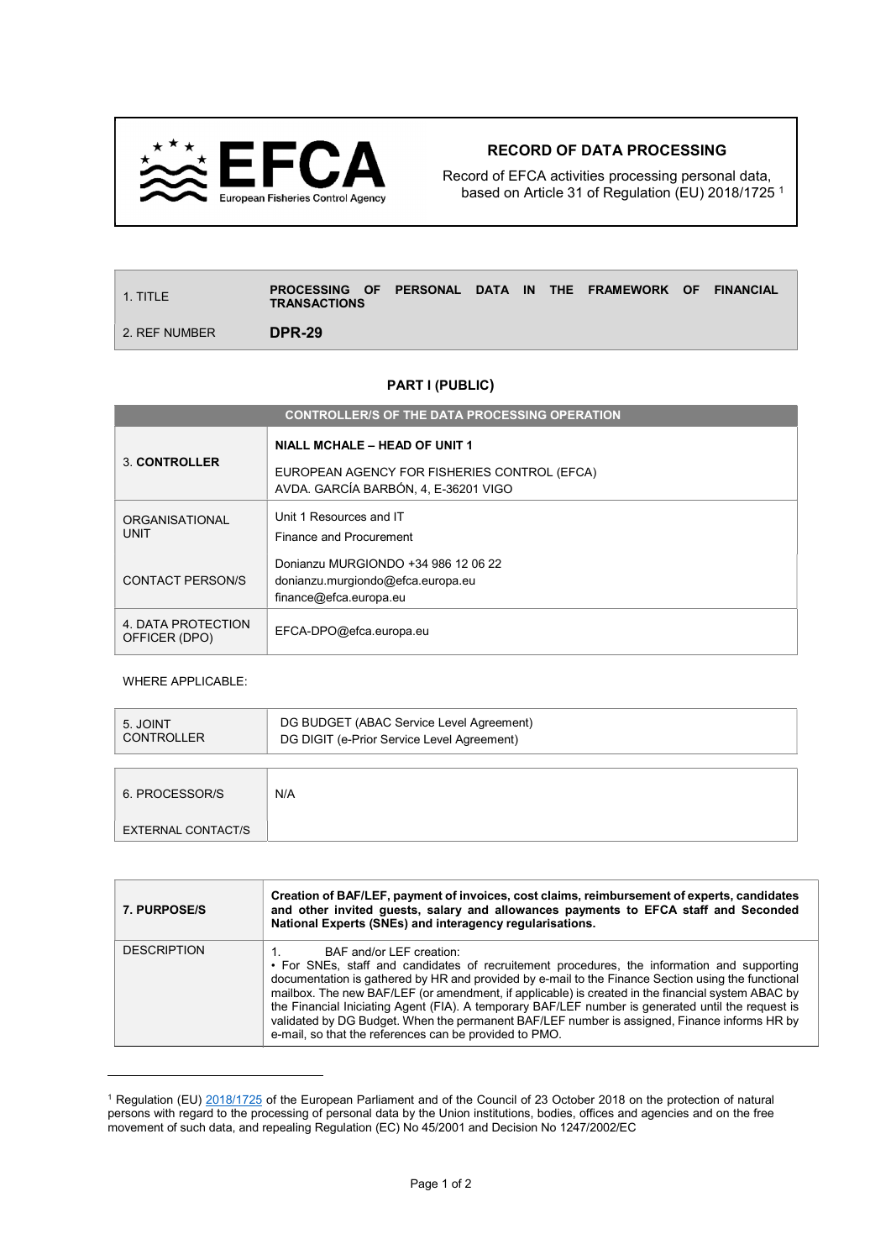

## RECORD OF DATA PROCESSING

Record of EFCA activities processing personal data, based on Article 31 of Regulation (EU) 2018/1725 <sup>1</sup>

| $\vert$ 1. TITLE | PROCESSING OF PERSONAL DATA IN THE FRAMEWORK OF<br><b>TRANSACTIONS</b> |  |  |  | <b>FINANCIAL</b> |
|------------------|------------------------------------------------------------------------|--|--|--|------------------|
| 2. REF NUMBER    | <b>DPR-29</b>                                                          |  |  |  |                  |

## PART I (PUBLIC)

| <b>CONTROLLER/S OF THE DATA PROCESSING OPERATION</b> |                                                                                                                              |  |  |  |
|------------------------------------------------------|------------------------------------------------------------------------------------------------------------------------------|--|--|--|
| 3 CONTROLLER                                         | <b>NIALL MCHALE - HEAD OF UNIT 1</b><br>EUROPEAN AGENCY FOR FISHERIES CONTROL (EFCA)<br>AVDA, GARCÍA BARBÓN, 4, E-36201 VIGO |  |  |  |
| <b>ORGANISATIONAL</b><br><b>UNIT</b>                 | Unit 1 Resources and IT<br>Finance and Procurement                                                                           |  |  |  |
| CONTACT PERSON/S                                     | Donianzu MURGIONDO +34 986 12 06 22<br>donianzu.murgiondo@efca.europa.eu<br>finance@efca.europa.eu                           |  |  |  |
| 4. DATA PROTECTION<br>OFFICER (DPO)                  | EFCA-DPO@efca.europa.eu                                                                                                      |  |  |  |

WHERE APPLICABLE:

 $\overline{a}$ 

| 5. JOINT<br><b>CONTROLLER</b> | DG BUDGET (ABAC Service Level Agreement)<br>DG DIGIT (e-Prior Service Level Agreement) |  |
|-------------------------------|----------------------------------------------------------------------------------------|--|
| 6. PROCESSOR/S                | N/A                                                                                    |  |
| EXTERNAL CONTACT/S            |                                                                                        |  |

| 7. PURPOSE/S       | Creation of BAF/LEF, payment of invoices, cost claims, reimbursement of experts, candidates<br>and other invited quests, salary and allowances payments to EFCA staff and Seconded<br>National Experts (SNEs) and interagency regularisations.                                                                                                                                                                                                                                                                                                                                                     |  |  |
|--------------------|----------------------------------------------------------------------------------------------------------------------------------------------------------------------------------------------------------------------------------------------------------------------------------------------------------------------------------------------------------------------------------------------------------------------------------------------------------------------------------------------------------------------------------------------------------------------------------------------------|--|--|
| <b>DESCRIPTION</b> | BAF and/or LEF creation:<br>• For SNEs, staff and candidates of recruitement procedures, the information and supporting<br>documentation is gathered by HR and provided by e-mail to the Finance Section using the functional<br>mailbox. The new BAF/LEF (or amendment, if applicable) is created in the financial system ABAC by<br>the Financial Iniciating Agent (FIA). A temporary BAF/LEF number is generated until the request is<br>validated by DG Budget. When the permanent BAF/LEF number is assigned, Finance informs HR by<br>e-mail, so that the references can be provided to PMO. |  |  |

<sup>&</sup>lt;sup>1</sup> Regulation (EU) 2018/1725 of the European Parliament and of the Council of 23 October 2018 on the protection of natural persons with regard to the processing of personal data by the Union institutions, bodies, offices and agencies and on the free movement of such data, and repealing Regulation (EC) No 45/2001 and Decision No 1247/2002/EC